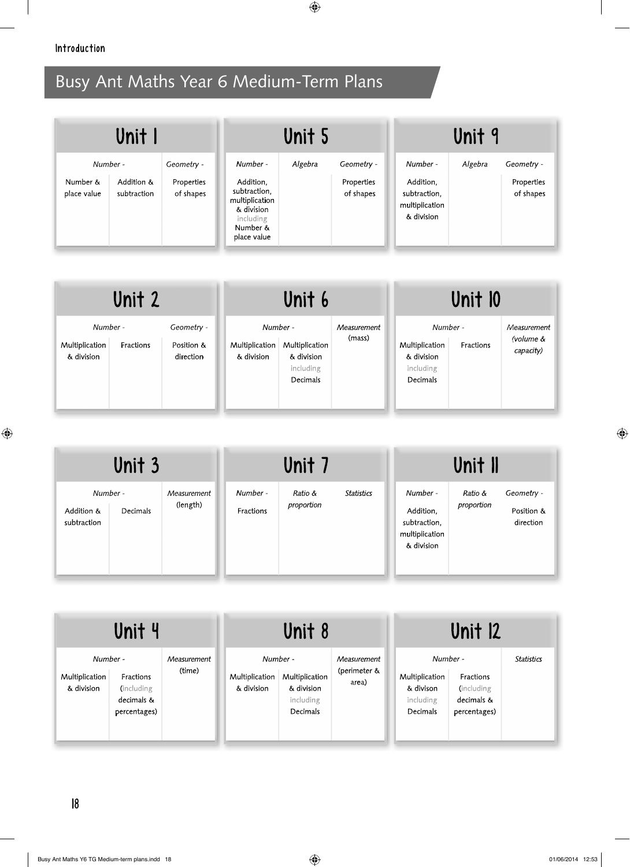| Unit I                              |                           |                                       | Unit 5                                                                                                        |         |                                       | Unit 9                                                                |         |                                       |
|-------------------------------------|---------------------------|---------------------------------------|---------------------------------------------------------------------------------------------------------------|---------|---------------------------------------|-----------------------------------------------------------------------|---------|---------------------------------------|
| Number -<br>Number &<br>place value | Addition &<br>subtraction | Geometry -<br>Properties<br>of shapes | Number -<br>Addition,<br>subtraction,<br>multiplication<br>& division<br>including<br>Number &<br>place value | Algebra | Geometry -<br>Properties<br>of shapes | Number -<br>Addition.<br>subtraction.<br>multiplication<br>& division | Algebra | Geometry -<br>Properties<br>of shapes |

| Unit 2                                   |           |                                       | Unit 6                       |                                                                   |                       | Unit 10                                               |                       |                                       |
|------------------------------------------|-----------|---------------------------------------|------------------------------|-------------------------------------------------------------------|-----------------------|-------------------------------------------------------|-----------------------|---------------------------------------|
| Number -<br>Multiplication<br>& division | Fractions | Geometry -<br>Position &<br>direction | Multiplication<br>& division | Number -<br>Multiplication<br>& division<br>including<br>Decimals | Measurement<br>(mass) | Multiplication<br>& division<br>including<br>Decimals | Number -<br>Fractions | Measurement<br>(volume &<br>capacity) |

| Unit 3                                            |                                                  | Unit 7                |                   |                                                                       | Unit II               |                                       |
|---------------------------------------------------|--------------------------------------------------|-----------------------|-------------------|-----------------------------------------------------------------------|-----------------------|---------------------------------------|
| Number -<br>Addition &<br>Decimals<br>subtraction | Number -<br>Measurement<br>(length)<br>Fractions | Ratio &<br>proportion | <b>Statistics</b> | Number -<br>Addition,<br>subtraction.<br>multiplication<br>& division | Ratio &<br>proportion | Geometry -<br>Position &<br>direction |

|                                          | Unit 4                                                |                       |                              | Unit 8                                                            |                                      |                                                                         | Unit 12                                               |                   |
|------------------------------------------|-------------------------------------------------------|-----------------------|------------------------------|-------------------------------------------------------------------|--------------------------------------|-------------------------------------------------------------------------|-------------------------------------------------------|-------------------|
| Number -<br>Multiplication<br>& division | Fractions<br>(including<br>decimals &<br>percentages) | Measurement<br>(time) | Multiplication<br>& division | Number -<br>Multiplication<br>& division<br>including<br>Decimals | Measurement<br>(perimeter &<br>area) | Number -<br>Multiplication<br>& divison<br>including<br><b>Decimals</b> | Fractions<br>(including<br>decimals &<br>percentages) | <b>Statistics</b> |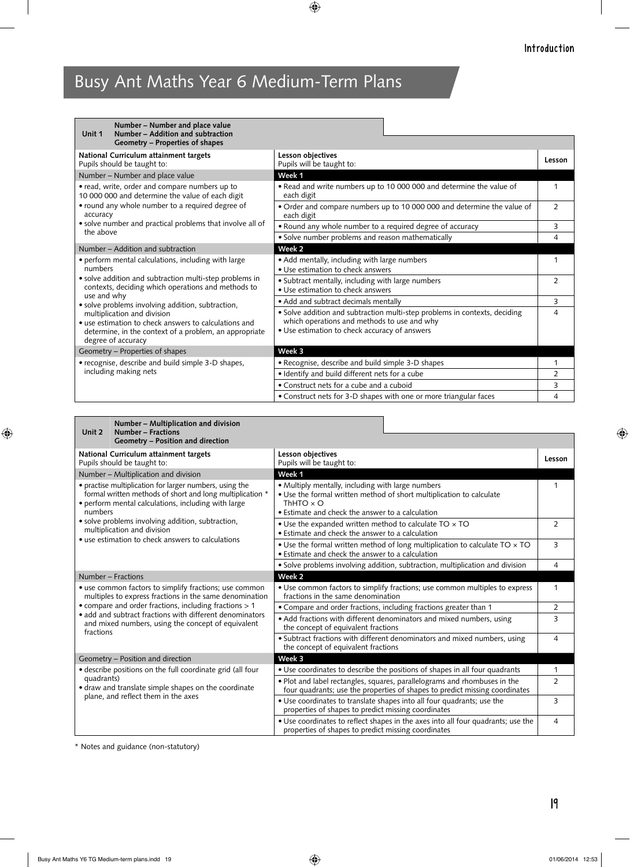| Number - Number and place value<br>Number - Addition and subtraction<br>Unit 1                                                                                       |                                                                                                                                                                            |             |
|----------------------------------------------------------------------------------------------------------------------------------------------------------------------|----------------------------------------------------------------------------------------------------------------------------------------------------------------------------|-------------|
| Geometry - Properties of shapes                                                                                                                                      |                                                                                                                                                                            |             |
| National Curriculum attainment targets<br>Pupils should be taught to:                                                                                                | Lesson objectives<br>Pupils will be taught to:                                                                                                                             | Lesson      |
| Number - Number and place value                                                                                                                                      | Week 1                                                                                                                                                                     |             |
| • read, write, order and compare numbers up to<br>10 000 000 and determine the value of each digit                                                                   | . Read and write numbers up to 10 000 000 and determine the value of<br>each digit                                                                                         | $\mathbf 1$ |
| • round any whole number to a required degree of<br>accuracy                                                                                                         | • Order and compare numbers up to 10 000 000 and determine the value of<br>each digit                                                                                      | 2           |
| • solve number and practical problems that involve all of<br>the above                                                                                               | • Round any whole number to a required degree of accuracy                                                                                                                  | 3           |
|                                                                                                                                                                      | · Solve number problems and reason mathematically                                                                                                                          | 4           |
| Number – Addition and subtraction                                                                                                                                    | Week 2                                                                                                                                                                     |             |
| • perform mental calculations, including with large<br>numbers                                                                                                       | • Add mentally, including with large numbers<br>• Use estimation to check answers                                                                                          |             |
| · solve addition and subtraction multi-step problems in<br>contexts, deciding which operations and methods to                                                        | • Subtract mentally, including with large numbers<br>• Use estimation to check answers                                                                                     | 2           |
| use and why<br>• solve problems involving addition, subtraction,                                                                                                     | • Add and subtract decimals mentally                                                                                                                                       | 3           |
| multiplication and division<br>• use estimation to check answers to calculations and<br>determine, in the context of a problem, an appropriate<br>degree of accuracy | • Solve addition and subtraction multi-step problems in contexts, deciding<br>which operations and methods to use and why<br>• Use estimation to check accuracy of answers | 4           |
| Geometry - Properties of shapes                                                                                                                                      | Week 3                                                                                                                                                                     |             |
| • recognise, describe and build simple 3-D shapes,                                                                                                                   | • Recognise, describe and build simple 3-D shapes                                                                                                                          | 1           |
| including making nets                                                                                                                                                | · Identify and build different nets for a cube                                                                                                                             | 2           |
|                                                                                                                                                                      | • Construct nets for a cube and a cuboid                                                                                                                                   | 3           |
|                                                                                                                                                                      | • Construct nets for 3-D shapes with one or more triangular faces                                                                                                          | 4           |

| Number - Multiplication and division<br>Number - Fractions<br>Unit 2                                                                                                                   |                                                                                                                                                                                                   |                |
|----------------------------------------------------------------------------------------------------------------------------------------------------------------------------------------|---------------------------------------------------------------------------------------------------------------------------------------------------------------------------------------------------|----------------|
| Geometry - Position and direction                                                                                                                                                      |                                                                                                                                                                                                   |                |
| National Curriculum attainment targets<br>Pupils should be taught to:                                                                                                                  | Lesson objectives<br>Pupils will be taught to:                                                                                                                                                    | Lesson         |
| Number - Multiplication and division                                                                                                                                                   | Week <sub>1</sub>                                                                                                                                                                                 |                |
| • practise multiplication for larger numbers, using the<br>formal written methods of short and long multiplication *<br>• perform mental calculations, including with large<br>numbers | • Multiply mentally, including with large numbers<br>. Use the formal written method of short multiplication to calculate<br>ThHTO $\times$ O<br>• Estimate and check the answer to a calculation | 1              |
| · solve problems involving addition, subtraction,<br>multiplication and division<br>• use estimation to check answers to calculations                                                  | • Use the expanded written method to calculate TO x TO<br>• Estimate and check the answer to a calculation                                                                                        | $\overline{2}$ |
|                                                                                                                                                                                        | • Use the formal written method of long multiplication to calculate TO x TO<br>• Estimate and check the answer to a calculation                                                                   | 3              |
|                                                                                                                                                                                        | • Solve problems involving addition, subtraction, multiplication and division                                                                                                                     | 4              |
| Number - Fractions                                                                                                                                                                     | Week 2                                                                                                                                                                                            |                |
| • use common factors to simplify fractions; use common<br>multiples to express fractions in the same denomination                                                                      | • Use common factors to simplify fractions; use common multiples to express<br>fractions in the same denomination                                                                                 | 1              |
| • compare and order fractions, including fractions > 1                                                                                                                                 | • Compare and order fractions, including fractions greater than 1                                                                                                                                 | $\overline{2}$ |
| • add and subtract fractions with different denominators<br>and mixed numbers, using the concept of equivalent<br>fractions                                                            | • Add fractions with different denominators and mixed numbers, using<br>the concept of equivalent fractions                                                                                       | 3              |
|                                                                                                                                                                                        | • Subtract fractions with different denominators and mixed numbers, using<br>the concept of equivalent fractions                                                                                  | 4              |
| Geometry - Position and direction                                                                                                                                                      | Week 3                                                                                                                                                                                            |                |
| • describe positions on the full coordinate grid (all four                                                                                                                             | • Use coordinates to describe the positions of shapes in all four quadrants                                                                                                                       | 1              |
| quadrants)<br>· draw and translate simple shapes on the coordinate<br>plane, and reflect them in the axes                                                                              | . Plot and label rectangles, squares, parallelograms and rhombuses in the<br>four quadrants; use the properties of shapes to predict missing coordinates                                          | $\overline{2}$ |
|                                                                                                                                                                                        | • Use coordinates to translate shapes into all four quadrants; use the<br>properties of shapes to predict missing coordinates                                                                     | 3              |
|                                                                                                                                                                                        | • Use coordinates to reflect shapes in the axes into all four quadrants; use the<br>properties of shapes to predict missing coordinates                                                           | $\overline{4}$ |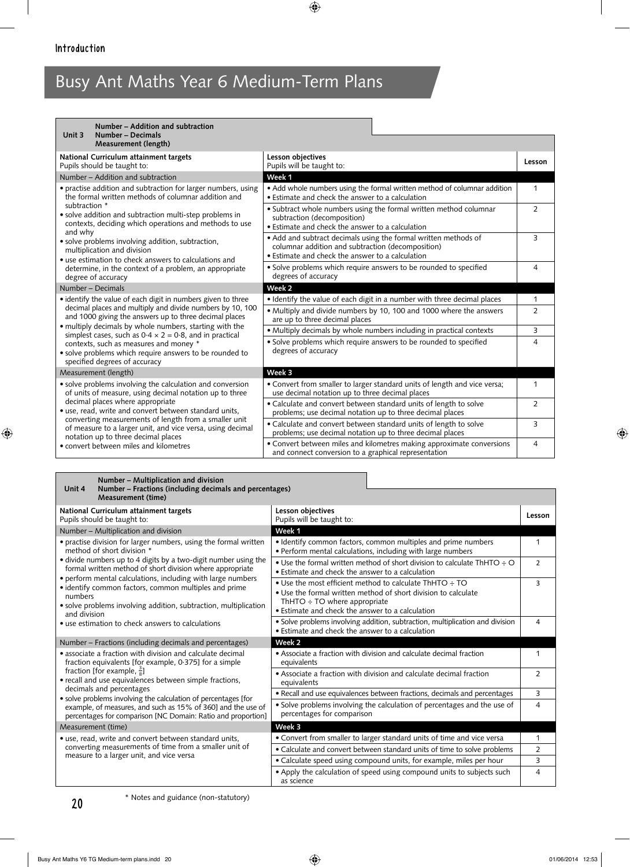| Number - Addition and subtraction<br>Unit 3<br>Number - Decimals                                                                                                               |                                                                                                                                                                          |                |
|--------------------------------------------------------------------------------------------------------------------------------------------------------------------------------|--------------------------------------------------------------------------------------------------------------------------------------------------------------------------|----------------|
| Measurement (length)                                                                                                                                                           |                                                                                                                                                                          |                |
| National Curriculum attainment targets<br>Pupils should be taught to:                                                                                                          | Lesson objectives<br>Pupils will be taught to:                                                                                                                           | Lesson         |
| Number - Addition and subtraction                                                                                                                                              | Week 1                                                                                                                                                                   |                |
| • practise addition and subtraction for larger numbers, using<br>the formal written methods of columnar addition and                                                           | • Add whole numbers using the formal written method of columnar addition<br>• Estimate and check the answer to a calculation                                             | 1              |
| subtraction *<br>· solve addition and subtraction multi-step problems in<br>contexts, deciding which operations and methods to use                                             | · Subtract whole numbers using the formal written method columnar<br>subtraction (decomposition)<br>• Estimate and check the answer to a calculation                     | $\overline{2}$ |
| and why<br>· solve problems involving addition, subtraction,<br>multiplication and division<br>• use estimation to check answers to calculations and                           | • Add and subtract decimals using the formal written methods of<br>columnar addition and subtraction (decomposition)<br>• Estimate and check the answer to a calculation | 3              |
| determine, in the context of a problem, an appropriate<br>degree of accuracy                                                                                                   | • Solve problems which require answers to be rounded to specified<br>degrees of accuracy                                                                                 | 4              |
| Number - Decimals                                                                                                                                                              | Week <sub>2</sub>                                                                                                                                                        |                |
| • identify the value of each digit in numbers given to three                                                                                                                   | • Identify the value of each digit in a number with three decimal places                                                                                                 | 1              |
| decimal places and multiply and divide numbers by 10, 100<br>and 1000 giving the answers up to three decimal places<br>• multiply decimals by whole numbers, starting with the | • Multiply and divide numbers by 10, 100 and 1000 where the answers<br>are up to three decimal places                                                                    | $\overline{2}$ |
| simplest cases, such as $0.4 \times 2 = 0.8$ , and in practical                                                                                                                | · Multiply decimals by whole numbers including in practical contexts                                                                                                     | 3              |
| contexts, such as measures and money *<br>• solve problems which require answers to be rounded to<br>specified degrees of accuracy                                             | · Solve problems which require answers to be rounded to specified<br>degrees of accuracy                                                                                 | $\overline{4}$ |
| Measurement (length)                                                                                                                                                           | Week 3                                                                                                                                                                   |                |
| • solve problems involving the calculation and conversion<br>of units of measure, using decimal notation up to three                                                           | • Convert from smaller to larger standard units of length and vice versa;<br>use decimal notation up to three decimal places                                             | 1              |
| decimal places where appropriate<br>• use, read, write and convert between standard units,                                                                                     | • Calculate and convert between standard units of length to solve<br>problems; use decimal notation up to three decimal places                                           | $\overline{2}$ |
| converting measurements of length from a smaller unit<br>of measure to a larger unit, and vice versa, using decimal<br>notation up to three decimal places                     | • Calculate and convert between standard units of length to solve<br>problems; use decimal notation up to three decimal places                                           | 3              |
| • convert between miles and kilometres                                                                                                                                         | • Convert between miles and kilometres making approximate conversions<br>and connect conversion to a graphical representation                                            | 4              |

| Number – Multiplication and division<br>Number – Fractions (including decimals and percentages)<br>Unit 4<br><b>Measurement (time)</b>                                                      |                                                                                                                                                                                                                    |                |
|---------------------------------------------------------------------------------------------------------------------------------------------------------------------------------------------|--------------------------------------------------------------------------------------------------------------------------------------------------------------------------------------------------------------------|----------------|
| National Curriculum attainment targets<br>Pupils should be taught to:                                                                                                                       | Lesson objectives<br>Pupils will be taught to:                                                                                                                                                                     | Lesson         |
| Number - Multiplication and division                                                                                                                                                        | Week 1                                                                                                                                                                                                             |                |
| • practise division for larger numbers, using the formal written<br>method of short division *                                                                                              | • Identify common factors, common multiples and prime numbers<br>· Perform mental calculations, including with large numbers                                                                                       | 1              |
| • divide numbers up to 4 digits by a two-digit number using the<br>formal written method of short division where appropriate<br>• perform mental calculations, including with large numbers | • Use the formal written method of short division to calculate ThHTO $\div$ O<br>• Estimate and check the answer to a calculation                                                                                  | $\overline{2}$ |
| · identify common factors, common multiples and prime<br>numbers<br>• solve problems involving addition, subtraction, multiplication<br>and division                                        | • Use the most efficient method to calculate ThHTO ÷ TO<br>• Use the formal written method of short division to calculate<br>ThHTO $\div$ TO where appropriate<br>• Estimate and check the answer to a calculation | 3              |
| • use estimation to check answers to calculations                                                                                                                                           | • Solve problems involving addition, subtraction, multiplication and division<br>• Estimate and check the answer to a calculation                                                                                  | 4              |
| Number – Fractions (including decimals and percentages)                                                                                                                                     | Week 2                                                                                                                                                                                                             |                |
| • associate a fraction with division and calculate decimal<br>fraction equivalents [for example, 0.375] for a simple                                                                        | • Associate a fraction with division and calculate decimal fraction<br>equivalents                                                                                                                                 | 1              |
| fraction [for example, $\frac{3}{8}$ ]<br>• recall and use equivalences between simple fractions,                                                                                           | • Associate a fraction with division and calculate decimal fraction<br>equivalents                                                                                                                                 | $\overline{2}$ |
| decimals and percentages<br>• solve problems involving the calculation of percentages [for                                                                                                  | • Recall and use equivalences between fractions, decimals and percentages                                                                                                                                          | 3              |
| example, of measures, and such as 15% of 360] and the use of<br>percentages for comparison [NC Domain: Ratio and proportion]                                                                | • Solve problems involving the calculation of percentages and the use of<br>percentages for comparison                                                                                                             | 4              |
| Measurement (time)                                                                                                                                                                          | Week 3                                                                                                                                                                                                             |                |
| • use, read, write and convert between standard units,                                                                                                                                      | • Convert from smaller to larger standard units of time and vice versa                                                                                                                                             | 1              |
| converting measurements of time from a smaller unit of<br>measure to a larger unit, and vice versa                                                                                          | • Calculate and convert between standard units of time to solve problems                                                                                                                                           | $\overline{2}$ |
|                                                                                                                                                                                             | • Calculate speed using compound units, for example, miles per hour                                                                                                                                                | 3              |
|                                                                                                                                                                                             | • Apply the calculation of speed using compound units to subjects such<br>as science                                                                                                                               | 4              |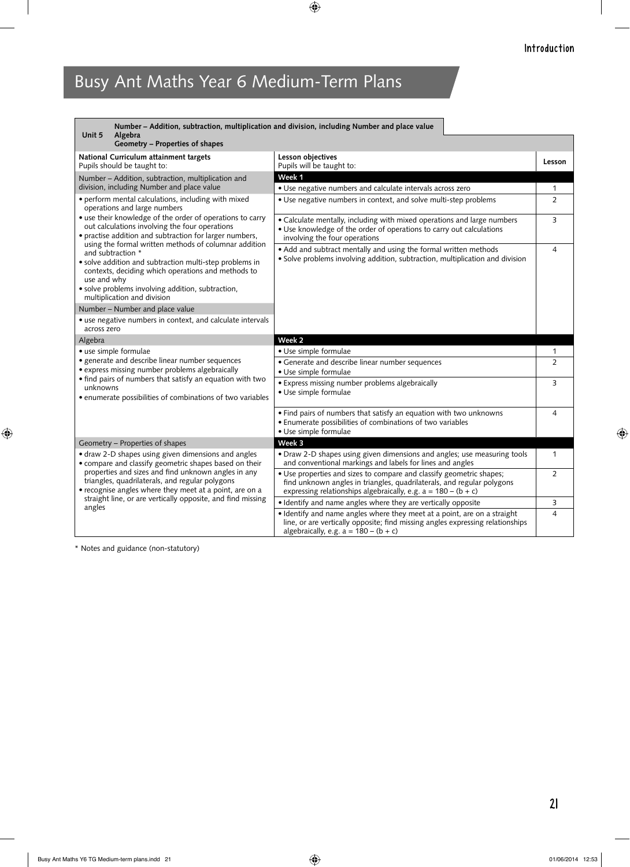| Unit 5<br>Algebra                                                                                                                                                                                                                     | Number - Addition, subtraction, multiplication and division, including Number and place value                                                                                                                      |                |
|---------------------------------------------------------------------------------------------------------------------------------------------------------------------------------------------------------------------------------------|--------------------------------------------------------------------------------------------------------------------------------------------------------------------------------------------------------------------|----------------|
| Geometry - Properties of shapes                                                                                                                                                                                                       |                                                                                                                                                                                                                    |                |
| National Curriculum attainment targets<br>Pupils should be taught to:                                                                                                                                                                 | Lesson objectives<br>Pupils will be taught to:                                                                                                                                                                     | Lesson         |
| Number - Addition, subtraction, multiplication and                                                                                                                                                                                    | Week 1                                                                                                                                                                                                             |                |
| division, including Number and place value                                                                                                                                                                                            | • Use negative numbers and calculate intervals across zero                                                                                                                                                         | 1              |
| · perform mental calculations, including with mixed<br>operations and large numbers                                                                                                                                                   | · Use negative numbers in context, and solve multi-step problems                                                                                                                                                   | $\overline{2}$ |
| • use their knowledge of the order of operations to carry<br>out calculations involving the four operations<br>• practise addition and subtraction for larger numbers,<br>using the formal written methods of columnar addition       | • Calculate mentally, including with mixed operations and large numbers<br>• Use knowledge of the order of operations to carry out calculations<br>involving the four operations                                   | 3              |
| and subtraction *<br>• solve addition and subtraction multi-step problems in<br>contexts, deciding which operations and methods to<br>use and why<br>· solve problems involving addition, subtraction,<br>multiplication and division | • Add and subtract mentally and using the formal written methods<br>• Solve problems involving addition, subtraction, multiplication and division                                                                  | 4              |
| Number - Number and place value                                                                                                                                                                                                       |                                                                                                                                                                                                                    |                |
| • use negative numbers in context, and calculate intervals<br>across zero                                                                                                                                                             |                                                                                                                                                                                                                    |                |
| Algebra                                                                                                                                                                                                                               | Week <sub>2</sub>                                                                                                                                                                                                  |                |
| • use simple formulae                                                                                                                                                                                                                 | · Use simple formulae                                                                                                                                                                                              | 1              |
| · generate and describe linear number sequences<br>• express missing number problems algebraically                                                                                                                                    | • Generate and describe linear number sequences<br>· Use simple formulae                                                                                                                                           | 2              |
| • find pairs of numbers that satisfy an equation with two<br>unknowns<br>• enumerate possibilities of combinations of two variables                                                                                                   | • Express missing number problems algebraically<br>· Use simple formulae                                                                                                                                           | 3              |
|                                                                                                                                                                                                                                       | • Find pairs of numbers that satisfy an equation with two unknowns<br>• Enumerate possibilities of combinations of two variables<br>· Use simple formulae                                                          | 4              |
| Geometry - Properties of shapes                                                                                                                                                                                                       | Week 3                                                                                                                                                                                                             |                |
| • draw 2-D shapes using given dimensions and angles<br>• compare and classify geometric shapes based on their                                                                                                                         | • Draw 2-D shapes using given dimensions and angles; use measuring tools<br>and conventional markings and labels for lines and angles                                                                              | $\mathbf{1}$   |
| properties and sizes and find unknown angles in any<br>triangles, quadrilaterals, and regular polygons<br>• recognise angles where they meet at a point, are on a<br>straight line, or are vertically opposite, and find missing      | • Use properties and sizes to compare and classify geometric shapes;<br>find unknown angles in triangles, quadrilaterals, and regular polygons<br>expressing relationships algebraically, e.g. $a = 180 - (b + c)$ | $\overline{2}$ |
| angles                                                                                                                                                                                                                                | • Identify and name angles where they are vertically opposite                                                                                                                                                      | 3              |
|                                                                                                                                                                                                                                       | · Identify and name angles where they meet at a point, are on a straight<br>line, or are vertically opposite; find missing angles expressing relationships<br>algebraically, e.g. $a = 180 - (b + c)$              | $\overline{4}$ |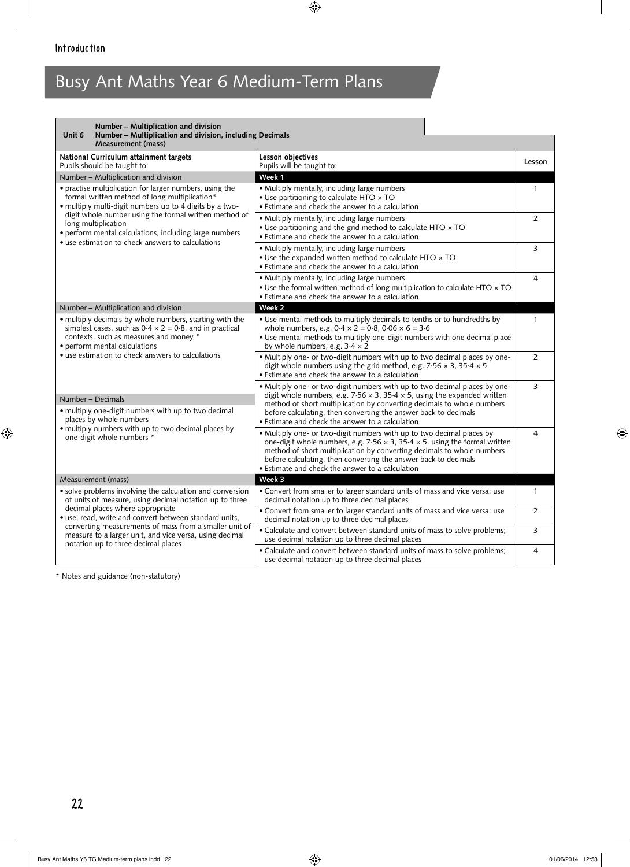| Number - Multiplication and division<br>Unit 6<br>Number - Multiplication and division, including Decimals<br><b>Measurement (mass)</b>                                                                                                                    |                                                                                                                                                                                                                                                                                                                                                                       |                |
|------------------------------------------------------------------------------------------------------------------------------------------------------------------------------------------------------------------------------------------------------------|-----------------------------------------------------------------------------------------------------------------------------------------------------------------------------------------------------------------------------------------------------------------------------------------------------------------------------------------------------------------------|----------------|
| National Curriculum attainment targets<br>Pupils should be taught to:                                                                                                                                                                                      | Lesson objectives<br>Pupils will be taught to:                                                                                                                                                                                                                                                                                                                        | Lesson         |
| Number - Multiplication and division                                                                                                                                                                                                                       | Week 1                                                                                                                                                                                                                                                                                                                                                                |                |
| • practise multiplication for larger numbers, using the<br>formal written method of long multiplication*<br>• multiply multi-digit numbers up to 4 digits by a two-                                                                                        | • Multiply mentally, including large numbers<br>• Use partitioning to calculate HTO x TO<br>• Estimate and check the answer to a calculation                                                                                                                                                                                                                          | $\mathbf{1}$   |
| digit whole number using the formal written method of<br>long multiplication<br>· perform mental calculations, including large numbers<br>• use estimation to check answers to calculations                                                                | • Multiply mentally, including large numbers<br>. Use partitioning and the grid method to calculate HTO x TO<br>• Estimate and check the answer to a calculation                                                                                                                                                                                                      | 2              |
|                                                                                                                                                                                                                                                            | • Multiply mentally, including large numbers<br>• Use the expanded written method to calculate HTO $\times$ TO<br>• Estimate and check the answer to a calculation                                                                                                                                                                                                    | 3              |
|                                                                                                                                                                                                                                                            | • Multiply mentally, including large numbers<br>. Use the formal written method of long multiplication to calculate HTO x TO<br>• Estimate and check the answer to a calculation                                                                                                                                                                                      | $\overline{4}$ |
| Number - Multiplication and division                                                                                                                                                                                                                       | Week <sub>2</sub>                                                                                                                                                                                                                                                                                                                                                     |                |
| • multiply decimals by whole numbers, starting with the<br>simplest cases, such as $0.4 \times 2 = 0.8$ , and in practical<br>contexts, such as measures and money *<br>• perform mental calculations<br>• use estimation to check answers to calculations | . Use mental methods to multiply decimals to tenths or to hundredths by<br>whole numbers, e.g. $0.4 \times 2 = 0.8$ , $0.06 \times 6 = 3.6$<br>. Use mental methods to multiply one-digit numbers with one decimal place<br>by whole numbers, e.g. $3.4 \times 2$                                                                                                     | $\mathbf{1}$   |
|                                                                                                                                                                                                                                                            | . Multiply one- or two-digit numbers with up to two decimal places by one-<br>digit whole numbers using the grid method, e.g. $7.56 \times 3$ , $35.4 \times 5$<br>• Estimate and check the answer to a calculation                                                                                                                                                   | $\overline{2}$ |
| Number - Decimals<br>· multiply one-digit numbers with up to two decimal<br>places by whole numbers                                                                                                                                                        | • Multiply one- or two-digit numbers with up to two decimal places by one-<br>digit whole numbers, e.g. 7.56 $\times$ 3, 35.4 $\times$ 5, using the expanded written<br>method of short multiplication by converting decimals to whole numbers<br>before calculating, then converting the answer back to decimals<br>• Estimate and check the answer to a calculation | 3              |
| · multiply numbers with up to two decimal places by<br>one-digit whole numbers *                                                                                                                                                                           | • Multiply one- or two-digit numbers with up to two decimal places by<br>one-digit whole numbers, e.g. $7.56 \times 3$ , $35.4 \times 5$ , using the formal written<br>method of short multiplication by converting decimals to whole numbers<br>before calculating, then converting the answer back to decimals<br>• Estimate and check the answer to a calculation  | $\overline{4}$ |
| Measurement (mass)                                                                                                                                                                                                                                         | Week 3                                                                                                                                                                                                                                                                                                                                                                |                |
| • solve problems involving the calculation and conversion<br>of units of measure, using decimal notation up to three                                                                                                                                       | • Convert from smaller to larger standard units of mass and vice versa; use<br>decimal notation up to three decimal places                                                                                                                                                                                                                                            | $\mathbf{1}$   |
| decimal places where appropriate<br>• use, read, write and convert between standard units,<br>converting measurements of mass from a smaller unit of                                                                                                       | • Convert from smaller to larger standard units of mass and vice versa; use<br>decimal notation up to three decimal places                                                                                                                                                                                                                                            | $\overline{2}$ |
| measure to a larger unit, and vice versa, using decimal<br>notation up to three decimal places                                                                                                                                                             | • Calculate and convert between standard units of mass to solve problems;<br>use decimal notation up to three decimal places                                                                                                                                                                                                                                          | 3              |
|                                                                                                                                                                                                                                                            | • Calculate and convert between standard units of mass to solve problems;<br>use decimal notation up to three decimal places                                                                                                                                                                                                                                          | 4              |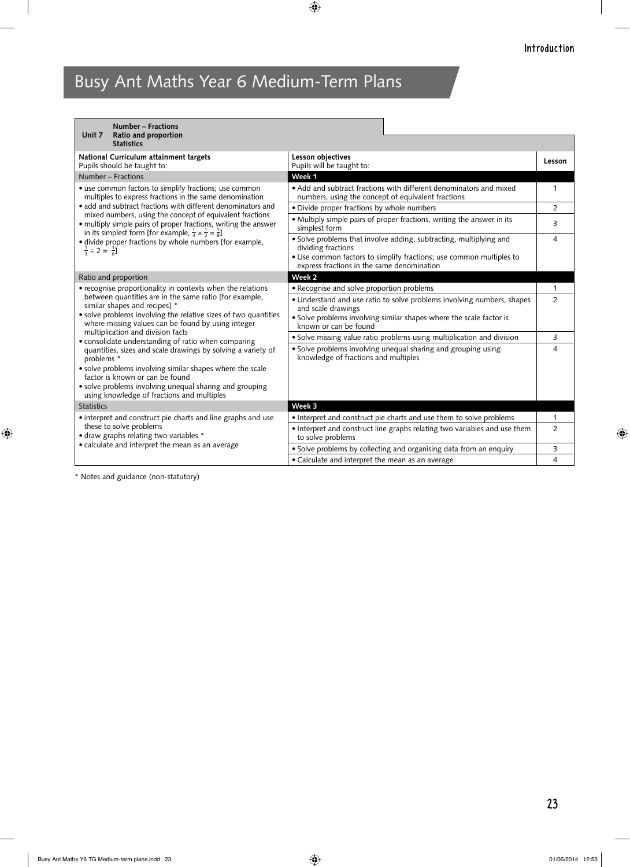| <b>Number - Fractions</b><br>Ratio and proportion<br>Unit 7                                                                                                                                                        |                                                                                                                          |                |
|--------------------------------------------------------------------------------------------------------------------------------------------------------------------------------------------------------------------|--------------------------------------------------------------------------------------------------------------------------|----------------|
| <b>Statistics</b>                                                                                                                                                                                                  |                                                                                                                          |                |
| National Curriculum attainment targets<br>Pupils should be taught to:                                                                                                                                              | Lesson objectives<br>Pupils will be taught to:                                                                           | Lesson         |
| Number - Fractions                                                                                                                                                                                                 | Week 1                                                                                                                   |                |
| • use common factors to simplify fractions; use common<br>multiples to express fractions in the same denomination                                                                                                  | • Add and subtract fractions with different denominators and mixed<br>numbers, using the concept of equivalent fractions | $\mathbf{1}$   |
| • add and subtract fractions with different denominators and                                                                                                                                                       | · Divide proper fractions by whole numbers                                                                               | $\overline{2}$ |
| mixed numbers, using the concept of equivalent fractions<br>• multiply simple pairs of proper fractions, writing the answer<br>in its simplest form [for example, $\frac{1}{4} \times \frac{1}{2} = \frac{1}{8}$ ] | • Multiply simple pairs of proper fractions, writing the answer in its<br>simplest form                                  | 3              |
| · divide proper fractions by whole numbers [for example,<br>$\frac{1}{3} \div 2 = \frac{1}{6}$                                                                                                                     | • Solve problems that involve adding, subtracting, multiplying and<br>dividing fractions                                 | $\overline{4}$ |
|                                                                                                                                                                                                                    | • Use common factors to simplify fractions; use common multiples to<br>express fractions in the same denomination        |                |
| Ratio and proportion                                                                                                                                                                                               | Week 2                                                                                                                   |                |
| • recognise proportionality in contexts when the relations                                                                                                                                                         | • Recognise and solve proportion problems                                                                                | 1              |
| between quantities are in the same ratio [for example,<br>similar shapes and recipes] *                                                                                                                            | • Understand and use ratio to solve problems involving numbers, shapes<br>and scale drawings                             | $\overline{2}$ |
| • solve problems involving the relative sizes of two quantities<br>where missing values can be found by using integer                                                                                              | · Solve problems involving similar shapes where the scale factor is<br>known or can be found                             |                |
| multiplication and division facts<br>• consolidate understanding of ratio when comparing                                                                                                                           | · Solve missing value ratio problems using multiplication and division                                                   | 3              |
| quantities, sizes and scale drawings by solving a variety of<br>problems *                                                                                                                                         | • Solve problems involving unequal sharing and grouping using<br>knowledge of fractions and multiples                    | 4              |
| • solve problems involving similar shapes where the scale<br>factor is known or can be found                                                                                                                       |                                                                                                                          |                |
| • solve problems involving unequal sharing and grouping<br>using knowledge of fractions and multiples                                                                                                              |                                                                                                                          |                |
| <b>Statistics</b>                                                                                                                                                                                                  | Week 3                                                                                                                   |                |
| • interpret and construct pie charts and line graphs and use                                                                                                                                                       | • Interpret and construct pie charts and use them to solve problems                                                      | $\mathbf{1}$   |
| these to solve problems<br>• draw graphs relating two variables *                                                                                                                                                  | • Interpret and construct line graphs relating two variables and use them<br>to solve problems                           | $\overline{2}$ |
| • calculate and interpret the mean as an average                                                                                                                                                                   | · Solve problems by collecting and organising data from an enquiry                                                       | 3              |
|                                                                                                                                                                                                                    | • Calculate and interpret the mean as an average                                                                         | $\overline{4}$ |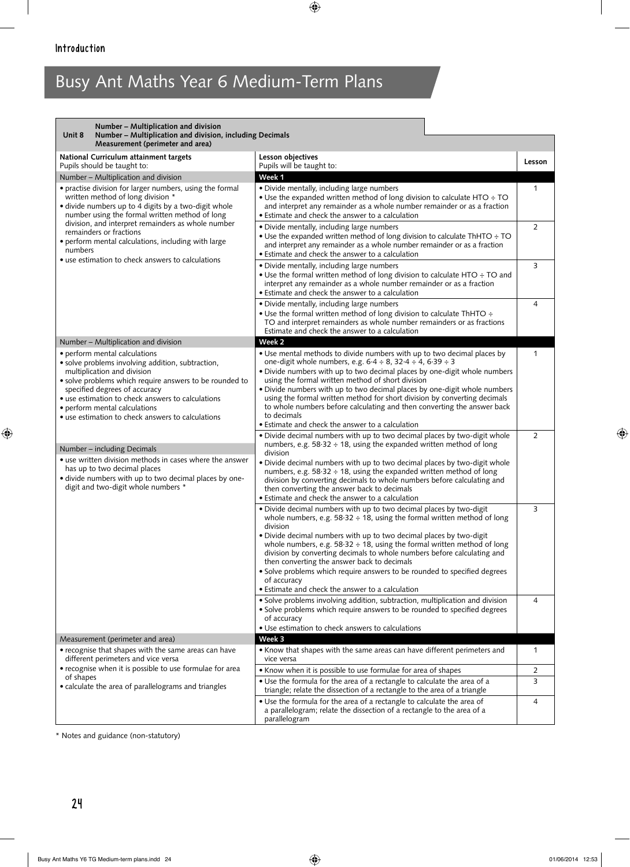| Number - Multiplication and division<br>Number - Multiplication and division, including Decimals<br>Unit 8<br>Measurement (perimeter and area)                                                                                                                                                                                                           |                                                                                                                                                                                                                                                                                                                                                                                                                                                                                                                                                                                                    |                |
|----------------------------------------------------------------------------------------------------------------------------------------------------------------------------------------------------------------------------------------------------------------------------------------------------------------------------------------------------------|----------------------------------------------------------------------------------------------------------------------------------------------------------------------------------------------------------------------------------------------------------------------------------------------------------------------------------------------------------------------------------------------------------------------------------------------------------------------------------------------------------------------------------------------------------------------------------------------------|----------------|
| National Curriculum attainment targets<br>Pupils should be taught to:                                                                                                                                                                                                                                                                                    | Lesson objectives<br>Pupils will be taught to:                                                                                                                                                                                                                                                                                                                                                                                                                                                                                                                                                     | Lesson         |
| Number - Multiplication and division                                                                                                                                                                                                                                                                                                                     | Week 1                                                                                                                                                                                                                                                                                                                                                                                                                                                                                                                                                                                             |                |
| • practise division for larger numbers, using the formal<br>written method of long division *<br>• divide numbers up to 4 digits by a two-digit whole<br>number using the formal written method of long                                                                                                                                                  | • Divide mentally, including large numbers<br>• Use the expanded written method of long division to calculate HTO ÷ TO<br>and interpret any remainder as a whole number remainder or as a fraction<br>• Estimate and check the answer to a calculation                                                                                                                                                                                                                                                                                                                                             | 1              |
| division, and interpret remainders as whole number<br>remainders or fractions<br>• perform mental calculations, including with large<br>numbers<br>• use estimation to check answers to calculations                                                                                                                                                     | • Divide mentally, including large numbers<br>• Use the expanded written method of long division to calculate ThHTO ÷ TO<br>and interpret any remainder as a whole number remainder or as a fraction<br>• Estimate and check the answer to a calculation                                                                                                                                                                                                                                                                                                                                           | $\overline{2}$ |
|                                                                                                                                                                                                                                                                                                                                                          | · Divide mentally, including large numbers<br>• Use the formal written method of long division to calculate HTO ÷ TO and<br>interpret any remainder as a whole number remainder or as a fraction<br>• Estimate and check the answer to a calculation                                                                                                                                                                                                                                                                                                                                               | 3              |
|                                                                                                                                                                                                                                                                                                                                                          | • Divide mentally, including large numbers<br>• Use the formal written method of long division to calculate ThHTO ÷<br>TO and interpret remainders as whole number remainders or as fractions<br>Estimate and check the answer to a calculation                                                                                                                                                                                                                                                                                                                                                    | 4              |
| Number - Multiplication and division                                                                                                                                                                                                                                                                                                                     | Week <sub>2</sub>                                                                                                                                                                                                                                                                                                                                                                                                                                                                                                                                                                                  |                |
| • perform mental calculations<br>· solve problems involving addition, subtraction,<br>multiplication and division<br>• solve problems which require answers to be rounded to<br>specified degrees of accuracy<br>• use estimation to check answers to calculations<br>• perform mental calculations<br>• use estimation to check answers to calculations | • Use mental methods to divide numbers with up to two decimal places by<br>one-digit whole numbers, e.g. $6.4 \div 8$ , $32.4 \div 4$ , $6.39 \div 3$<br>. Divide numbers with up to two decimal places by one-digit whole numbers<br>using the formal written method of short division<br>. Divide numbers with up to two decimal places by one-digit whole numbers<br>using the formal written method for short division by converting decimals<br>to whole numbers before calculating and then converting the answer back<br>to decimals<br>• Estimate and check the answer to a calculation    | 1              |
| Number – including Decimals<br>• use written division methods in cases where the answer<br>has up to two decimal places<br>• divide numbers with up to two decimal places by one-<br>digit and two-digit whole numbers *                                                                                                                                 | · Divide decimal numbers with up to two decimal places by two-digit whole<br>numbers, e.g. $58.32 \div 18$ , using the expanded written method of long<br>division<br>. Divide decimal numbers with up to two decimal places by two-digit whole<br>numbers, e.g. $58.32 \div 18$ , using the expanded written method of long<br>division by converting decimals to whole numbers before calculating and<br>then converting the answer back to decimals<br>• Estimate and check the answer to a calculation                                                                                         | $\overline{2}$ |
|                                                                                                                                                                                                                                                                                                                                                          | . Divide decimal numbers with up to two decimal places by two-digit<br>whole numbers, e.g. $58.32 \div 18$ , using the formal written method of long<br>division<br>• Divide decimal numbers with up to two decimal places by two-digit<br>whole numbers, e.g. $58.32 \div 18$ , using the formal written method of long<br>division by converting decimals to whole numbers before calculating and<br>then converting the answer back to decimals<br>• Solve problems which require answers to be rounded to specified degrees<br>of accuracy<br>• Estimate and check the answer to a calculation | 3              |
|                                                                                                                                                                                                                                                                                                                                                          | • Solve problems involving addition, subtraction, multiplication and division<br>• Solve problems which require answers to be rounded to specified degrees<br>of accuracy<br>· Use estimation to check answers to calculations                                                                                                                                                                                                                                                                                                                                                                     | 4              |
| Measurement (perimeter and area)                                                                                                                                                                                                                                                                                                                         | Week 3                                                                                                                                                                                                                                                                                                                                                                                                                                                                                                                                                                                             |                |
| • recognise that shapes with the same areas can have<br>different perimeters and vice versa                                                                                                                                                                                                                                                              | • Know that shapes with the same areas can have different perimeters and<br>vice versa                                                                                                                                                                                                                                                                                                                                                                                                                                                                                                             | 1              |
| • recognise when it is possible to use formulae for area<br>of shapes                                                                                                                                                                                                                                                                                    | • Know when it is possible to use formulae for area of shapes                                                                                                                                                                                                                                                                                                                                                                                                                                                                                                                                      | 2              |
| • calculate the area of parallelograms and triangles                                                                                                                                                                                                                                                                                                     | • Use the formula for the area of a rectangle to calculate the area of a<br>triangle; relate the dissection of a rectangle to the area of a triangle                                                                                                                                                                                                                                                                                                                                                                                                                                               | 3              |
|                                                                                                                                                                                                                                                                                                                                                          | • Use the formula for the area of a rectangle to calculate the area of<br>a parallelogram; relate the dissection of a rectangle to the area of a<br>parallelogram                                                                                                                                                                                                                                                                                                                                                                                                                                  | 4              |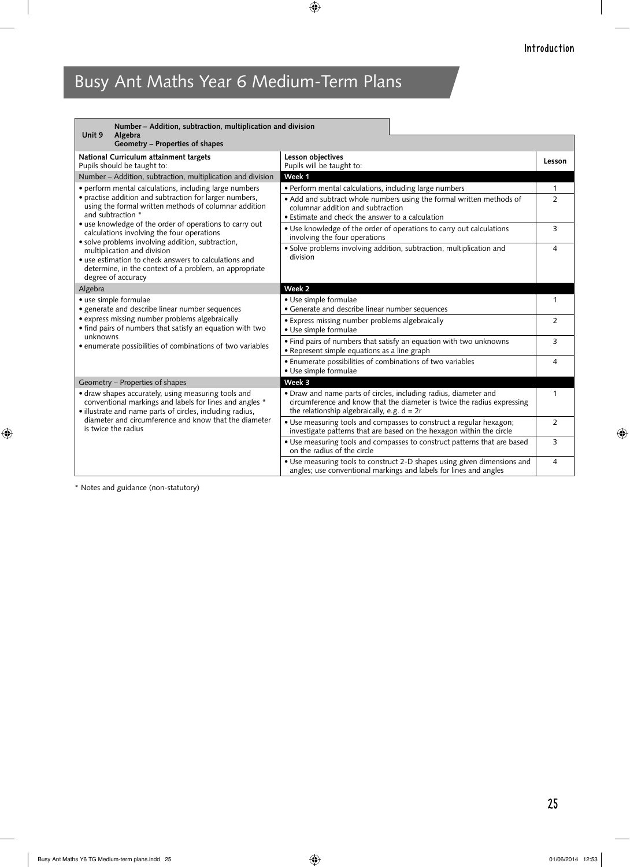| Number - Addition, subtraction, multiplication and division<br>Unit 9<br>Algebra                                                                                                                                                                                                                                                                                                                                                                                                                                                      |                                                                                                                                                                                              |                |
|---------------------------------------------------------------------------------------------------------------------------------------------------------------------------------------------------------------------------------------------------------------------------------------------------------------------------------------------------------------------------------------------------------------------------------------------------------------------------------------------------------------------------------------|----------------------------------------------------------------------------------------------------------------------------------------------------------------------------------------------|----------------|
| Geometry - Properties of shapes                                                                                                                                                                                                                                                                                                                                                                                                                                                                                                       |                                                                                                                                                                                              |                |
| National Curriculum attainment targets<br>Pupils should be taught to:                                                                                                                                                                                                                                                                                                                                                                                                                                                                 | Lesson objectives<br>Pupils will be taught to:                                                                                                                                               | Lesson         |
| Number - Addition, subtraction, multiplication and division                                                                                                                                                                                                                                                                                                                                                                                                                                                                           | Week 1                                                                                                                                                                                       |                |
| · perform mental calculations, including large numbers<br>• practise addition and subtraction for larger numbers,<br>using the formal written methods of columnar addition<br>and subtraction *<br>• use knowledge of the order of operations to carry out<br>calculations involving the four operations<br>· solve problems involving addition, subtraction,<br>multiplication and division<br>• use estimation to check answers to calculations and<br>determine, in the context of a problem, an appropriate<br>degree of accuracy | · Perform mental calculations, including large numbers                                                                                                                                       | 1              |
|                                                                                                                                                                                                                                                                                                                                                                                                                                                                                                                                       | • Add and subtract whole numbers using the formal written methods of<br>columnar addition and subtraction<br>• Estimate and check the answer to a calculation                                | $\mathcal{P}$  |
|                                                                                                                                                                                                                                                                                                                                                                                                                                                                                                                                       | • Use knowledge of the order of operations to carry out calculations<br>involving the four operations                                                                                        | 3              |
|                                                                                                                                                                                                                                                                                                                                                                                                                                                                                                                                       | · Solve problems involving addition, subtraction, multiplication and<br>division                                                                                                             | 4              |
| Algebra                                                                                                                                                                                                                                                                                                                                                                                                                                                                                                                               | Week <sub>2</sub>                                                                                                                                                                            |                |
| • use simple formulae<br>• generate and describe linear number sequences<br>• express missing number problems algebraically<br>• find pairs of numbers that satisfy an equation with two<br>unknowns<br>• enumerate possibilities of combinations of two variables                                                                                                                                                                                                                                                                    | · Use simple formulae<br>• Generate and describe linear number sequences                                                                                                                     | $\mathbf{1}$   |
|                                                                                                                                                                                                                                                                                                                                                                                                                                                                                                                                       | • Express missing number problems algebraically<br>· Use simple formulae                                                                                                                     | $\overline{2}$ |
|                                                                                                                                                                                                                                                                                                                                                                                                                                                                                                                                       | • Find pairs of numbers that satisfy an equation with two unknowns<br>• Represent simple equations as a line graph                                                                           | 3              |
|                                                                                                                                                                                                                                                                                                                                                                                                                                                                                                                                       | • Enumerate possibilities of combinations of two variables<br>· Use simple formulae                                                                                                          | 4              |
| Geometry - Properties of shapes                                                                                                                                                                                                                                                                                                                                                                                                                                                                                                       | Week 3                                                                                                                                                                                       |                |
| • draw shapes accurately, using measuring tools and<br>conventional markings and labels for lines and angles *<br>• illustrate and name parts of circles, including radius,<br>diameter and circumference and know that the diameter<br>is twice the radius                                                                                                                                                                                                                                                                           | • Draw and name parts of circles, including radius, diameter and<br>circumference and know that the diameter is twice the radius expressing<br>the relationship algebraically, e.g. $d = 2r$ | $\mathbf{1}$   |
|                                                                                                                                                                                                                                                                                                                                                                                                                                                                                                                                       | • Use measuring tools and compasses to construct a regular hexagon;<br>investigate patterns that are based on the hexagon within the circle                                                  | $\overline{2}$ |
|                                                                                                                                                                                                                                                                                                                                                                                                                                                                                                                                       | • Use measuring tools and compasses to construct patterns that are based<br>on the radius of the circle                                                                                      | 3              |
|                                                                                                                                                                                                                                                                                                                                                                                                                                                                                                                                       | • Use measuring tools to construct 2-D shapes using given dimensions and<br>angles; use conventional markings and labels for lines and angles                                                | $\overline{4}$ |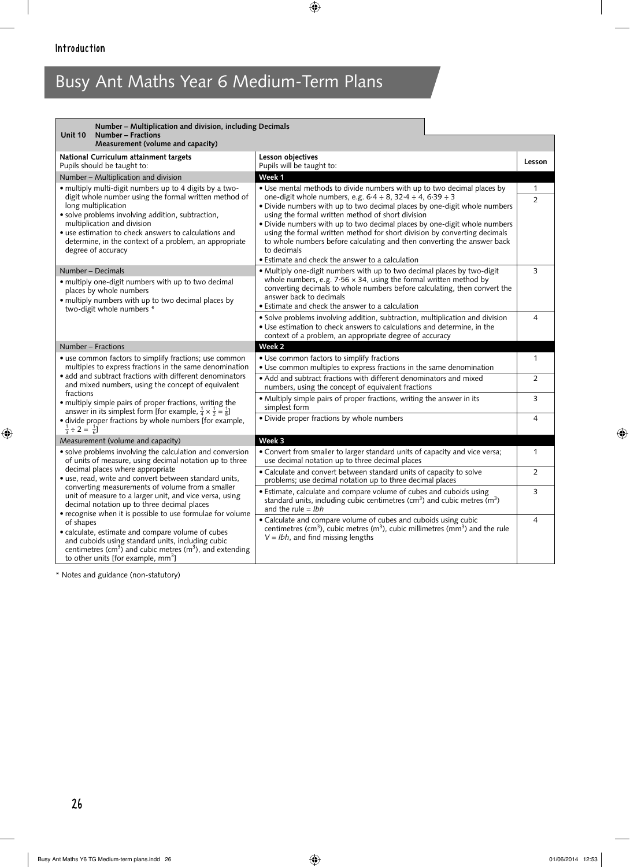| Number – Multiplication and division, including Decimals<br>Unit 10<br>Number - Fractions<br>Measurement (volume and capacity)                                                                                                                                                                                                                                                                                                                                                                                                                                                                                                                                                                            |                                                                                                                                                                                                                                                                                                                                                                                                                                                                                                                                                                                                 |                                |
|-----------------------------------------------------------------------------------------------------------------------------------------------------------------------------------------------------------------------------------------------------------------------------------------------------------------------------------------------------------------------------------------------------------------------------------------------------------------------------------------------------------------------------------------------------------------------------------------------------------------------------------------------------------------------------------------------------------|-------------------------------------------------------------------------------------------------------------------------------------------------------------------------------------------------------------------------------------------------------------------------------------------------------------------------------------------------------------------------------------------------------------------------------------------------------------------------------------------------------------------------------------------------------------------------------------------------|--------------------------------|
| National Curriculum attainment targets<br>Pupils should be taught to:                                                                                                                                                                                                                                                                                                                                                                                                                                                                                                                                                                                                                                     | Lesson objectives<br>Pupils will be taught to:                                                                                                                                                                                                                                                                                                                                                                                                                                                                                                                                                  | Lesson                         |
| Number - Multiplication and division                                                                                                                                                                                                                                                                                                                                                                                                                                                                                                                                                                                                                                                                      | Week 1                                                                                                                                                                                                                                                                                                                                                                                                                                                                                                                                                                                          |                                |
| · multiply multi-digit numbers up to 4 digits by a two-<br>digit whole number using the formal written method of<br>long multiplication<br>· solve problems involving addition, subtraction,<br>multiplication and division<br>• use estimation to check answers to calculations and<br>determine, in the context of a problem, an appropriate<br>degree of accuracy                                                                                                                                                                                                                                                                                                                                      | • Use mental methods to divide numbers with up to two decimal places by<br>one-digit whole numbers, e.g. $6.4 \div 8$ , $32.4 \div 4$ , $6.39 \div 3$<br>• Divide numbers with up to two decimal places by one-digit whole numbers<br>using the formal written method of short division<br>• Divide numbers with up to two decimal places by one-digit whole numbers<br>using the formal written method for short division by converting decimals<br>to whole numbers before calculating and then converting the answer back<br>to decimals<br>• Estimate and check the answer to a calculation | $\mathbf{1}$<br>$\overline{2}$ |
| Number – Decimals<br>• multiply one-digit numbers with up to two decimal<br>places by whole numbers<br>· multiply numbers with up to two decimal places by<br>two-digit whole numbers *                                                                                                                                                                                                                                                                                                                                                                                                                                                                                                                   | • Multiply one-digit numbers with up to two decimal places by two-digit<br>whole numbers, e.g. $7.56 \times 34$ , using the formal written method by<br>converting decimals to whole numbers before calculating, then convert the<br>answer back to decimals<br>• Estimate and check the answer to a calculation<br>· Solve problems involving addition, subtraction, multiplication and division<br>• Use estimation to check answers to calculations and determine, in the<br>context of a problem, an appropriate degree of accuracy                                                         | 3<br>4                         |
| Number – Fractions                                                                                                                                                                                                                                                                                                                                                                                                                                                                                                                                                                                                                                                                                        | Week 2                                                                                                                                                                                                                                                                                                                                                                                                                                                                                                                                                                                          |                                |
| • use common factors to simplify fractions; use common<br>multiples to express fractions in the same denomination<br>• add and subtract fractions with different denominators<br>and mixed numbers, using the concept of equivalent                                                                                                                                                                                                                                                                                                                                                                                                                                                                       | • Use common factors to simplify fractions<br>• Use common multiples to express fractions in the same denomination<br>• Add and subtract fractions with different denominators and mixed                                                                                                                                                                                                                                                                                                                                                                                                        | $\mathbf{1}$<br>2              |
| fractions<br>• multiply simple pairs of proper fractions, writing the                                                                                                                                                                                                                                                                                                                                                                                                                                                                                                                                                                                                                                     | numbers, using the concept of equivalent fractions<br>• Multiply simple pairs of proper fractions, writing the answer in its<br>simplest form                                                                                                                                                                                                                                                                                                                                                                                                                                                   | 3                              |
| answer in its simplest form [for example, $\frac{1}{4} \times \frac{1}{2} = \frac{1}{8}$ ]<br>· divide proper fractions by whole numbers [for example,<br>$\frac{1}{3} \div 2 = \frac{1}{6}$                                                                                                                                                                                                                                                                                                                                                                                                                                                                                                              | • Divide proper fractions by whole numbers                                                                                                                                                                                                                                                                                                                                                                                                                                                                                                                                                      | 4                              |
| Measurement (volume and capacity)                                                                                                                                                                                                                                                                                                                                                                                                                                                                                                                                                                                                                                                                         | Week 3                                                                                                                                                                                                                                                                                                                                                                                                                                                                                                                                                                                          |                                |
| • solve problems involving the calculation and conversion<br>of units of measure, using decimal notation up to three<br>decimal places where appropriate<br>• use, read, write and convert between standard units,<br>converting measurements of volume from a smaller<br>unit of measure to a larger unit, and vice versa, using<br>decimal notation up to three decimal places<br>• recognise when it is possible to use formulae for volume<br>of shapes<br>• calculate, estimate and compare volume of cubes<br>and cuboids using standard units, including cubic<br>centimetres ( $\text{cm}^3$ ) and cubic metres ( $\text{m}^3$ ), and extending<br>to other units [for example, mm <sup>3</sup> ] | • Convert from smaller to larger standard units of capacity and vice versa;<br>use decimal notation up to three decimal places                                                                                                                                                                                                                                                                                                                                                                                                                                                                  | $\mathbf{1}$                   |
|                                                                                                                                                                                                                                                                                                                                                                                                                                                                                                                                                                                                                                                                                                           | • Calculate and convert between standard units of capacity to solve<br>problems; use decimal notation up to three decimal places                                                                                                                                                                                                                                                                                                                                                                                                                                                                | 2                              |
|                                                                                                                                                                                                                                                                                                                                                                                                                                                                                                                                                                                                                                                                                                           | • Estimate, calculate and compare volume of cubes and cuboids using<br>standard units, including cubic centimetres ( $\text{cm}^3$ ) and cubic metres ( $\text{m}^3$ )<br>and the rule = $lbh$                                                                                                                                                                                                                                                                                                                                                                                                  | 3                              |
|                                                                                                                                                                                                                                                                                                                                                                                                                                                                                                                                                                                                                                                                                                           | • Calculate and compare volume of cubes and cuboids using cubic<br>centimetres (cm <sup>3</sup> ), cubic metres (m <sup>3</sup> ), cubic millimetres (mm <sup>3</sup> ) and the rule<br>$V = Ibh$ , and find missing lengths                                                                                                                                                                                                                                                                                                                                                                    | $\overline{4}$                 |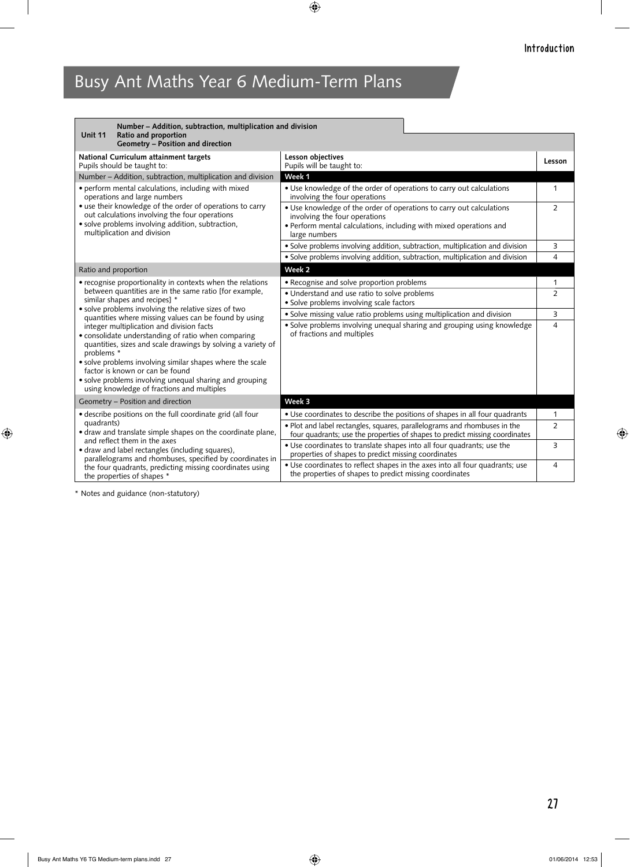| Number - Addition, subtraction, multiplication and division<br>Ratio and proportion<br><b>Unit 11</b>                                                                                                                                                                                                                                                                                   |                                                                                                                                                          |                |
|-----------------------------------------------------------------------------------------------------------------------------------------------------------------------------------------------------------------------------------------------------------------------------------------------------------------------------------------------------------------------------------------|----------------------------------------------------------------------------------------------------------------------------------------------------------|----------------|
| Geometry - Position and direction                                                                                                                                                                                                                                                                                                                                                       |                                                                                                                                                          |                |
| National Curriculum attainment targets<br>Pupils should be taught to:                                                                                                                                                                                                                                                                                                                   | Lesson objectives<br>Pupils will be taught to:                                                                                                           | Lesson         |
| Number - Addition, subtraction, multiplication and division                                                                                                                                                                                                                                                                                                                             | Week 1                                                                                                                                                   |                |
| • perform mental calculations, including with mixed<br>operations and large numbers<br>• use their knowledge of the order of operations to carry<br>out calculations involving the four operations<br>· solve problems involving addition, subtraction,<br>multiplication and division                                                                                                  | • Use knowledge of the order of operations to carry out calculations<br>involving the four operations                                                    | 1              |
|                                                                                                                                                                                                                                                                                                                                                                                         | • Use knowledge of the order of operations to carry out calculations<br>involving the four operations                                                    | $\overline{2}$ |
|                                                                                                                                                                                                                                                                                                                                                                                         | • Perform mental calculations, including with mixed operations and<br>large numbers                                                                      |                |
|                                                                                                                                                                                                                                                                                                                                                                                         | • Solve problems involving addition, subtraction, multiplication and division                                                                            | 3              |
|                                                                                                                                                                                                                                                                                                                                                                                         | · Solve problems involving addition, subtraction, multiplication and division                                                                            | 4              |
| Ratio and proportion                                                                                                                                                                                                                                                                                                                                                                    | Week <sub>2</sub>                                                                                                                                        |                |
| • recognise proportionality in contexts when the relations                                                                                                                                                                                                                                                                                                                              | • Recognise and solve proportion problems                                                                                                                | 1              |
| between quantities are in the same ratio [for example,<br>similar shapes and recipes] *                                                                                                                                                                                                                                                                                                 | • Understand and use ratio to solve problems                                                                                                             | $\overline{2}$ |
| · solve problems involving the relative sizes of two                                                                                                                                                                                                                                                                                                                                    | • Solve problems involving scale factors                                                                                                                 |                |
| quantities where missing values can be found by using                                                                                                                                                                                                                                                                                                                                   | • Solve missing value ratio problems using multiplication and division                                                                                   | 3              |
| integer multiplication and division facts<br>• consolidate understanding of ratio when comparing<br>quantities, sizes and scale drawings by solving a variety of<br>problems *<br>• solve problems involving similar shapes where the scale<br>factor is known or can be found<br>· solve problems involving unequal sharing and grouping<br>using knowledge of fractions and multiples | • Solve problems involving unequal sharing and grouping using knowledge<br>of fractions and multiples                                                    | 4              |
| Geometry - Position and direction                                                                                                                                                                                                                                                                                                                                                       | Week 3                                                                                                                                                   |                |
| · describe positions on the full coordinate grid (all four<br>quadrants)<br>• draw and translate simple shapes on the coordinate plane,<br>and reflect them in the axes<br>• draw and label rectangles (including squares),<br>parallelograms and rhombuses, specified by coordinates in<br>the four quadrants, predicting missing coordinates using<br>the properties of shapes *      | • Use coordinates to describe the positions of shapes in all four quadrants                                                                              | 1              |
|                                                                                                                                                                                                                                                                                                                                                                                         | . Plot and label rectangles, squares, parallelograms and rhombuses in the<br>four quadrants; use the properties of shapes to predict missing coordinates | 2              |
|                                                                                                                                                                                                                                                                                                                                                                                         | • Use coordinates to translate shapes into all four quadrants; use the<br>properties of shapes to predict missing coordinates                            | 3              |
|                                                                                                                                                                                                                                                                                                                                                                                         | • Use coordinates to reflect shapes in the axes into all four quadrants; use<br>the properties of shapes to predict missing coordinates                  | 4              |